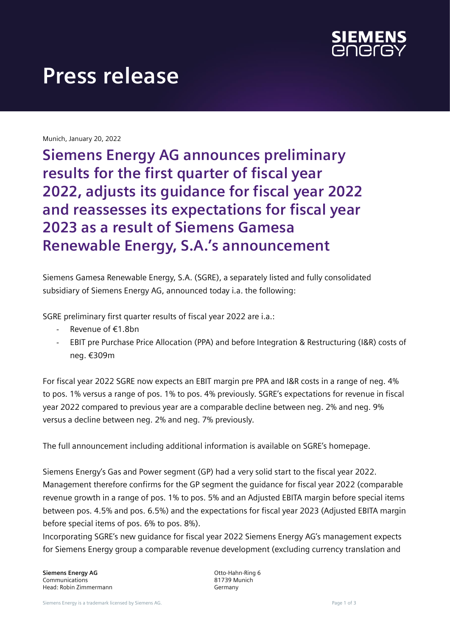

# **Press release**

Munich, January 20, 2022

**Siemens Energy AG announces preliminary results for the first quarter of fiscal year 2022, adjusts its guidance for fiscal year 2022 and reassesses its expectations for fiscal year 2023 as a result of Siemens Gamesa Renewable Energy, S.A.'s announcement**

Siemens Gamesa Renewable Energy, S.A. (SGRE), a separately listed and fully consolidated subsidiary of Siemens Energy AG, announced today i.a. the following:

SGRE preliminary first quarter results of fiscal year 2022 are i.a.:

- Revenue of €1.8bn
- EBIT pre Purchase Price Allocation (PPA) and before Integration & Restructuring (I&R) costs of neg. €309m

For fiscal year 2022 SGRE now expects an EBIT margin pre PPA and I&R costs in a range of neg. 4% to pos. 1% versus a range of pos. 1% to pos. 4% previously. SGRE's expectations for revenue in fiscal year 2022 compared to previous year are a comparable decline between neg. 2% and neg. 9% versus a decline between neg. 2% and neg. 7% previously.

The full announcement including additional information is available on SGRE's homepage.

Siemens Energy's Gas and Power segment (GP) had a very solid start to the fiscal year 2022. Management therefore confirms for the GP segment the guidance for fiscal year 2022 (comparable revenue growth in a range of pos. 1% to pos. 5% and an Adjusted EBITA margin before special items between pos. 4.5% and pos. 6.5%) and the expectations for fiscal year 2023 (Adjusted EBITA margin before special items of pos. 6% to pos. 8%).

Incorporating SGRE's new guidance for fiscal year 2022 Siemens Energy AG's management expects for Siemens Energy group a comparable revenue development (excluding currency translation and

**Siemens Energy AG** Communications Head: Robin Zimmermann Otto-Hahn-Ring 6 81739 Munich Germany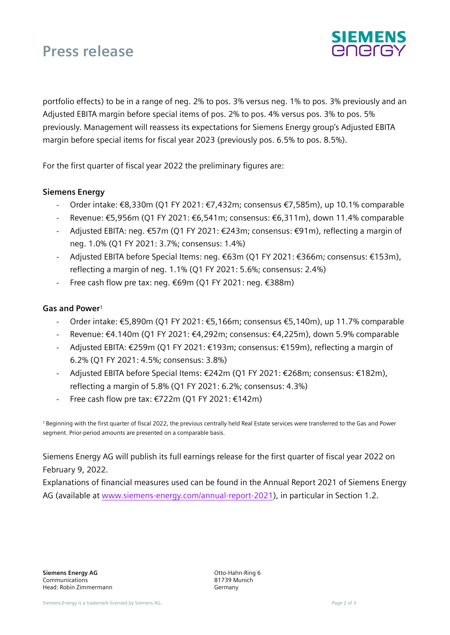# **Press release**



portfolio effects) to be in a range of neg. 2% to pos. 3% versus neg. 1% to pos. 3% previously and an Adjusted EBITA margin before special items of pos. 2% to pos. 4% versus pos. 3% to pos. 5% previously. Management will reassess its expectations for Siemens Energy group's Adjusted EBITA margin before special items for fiscal year 2023 (previously pos. 6.5% to pos. 8.5%).

For the first quarter of fiscal year 2022 the preliminary figures are:

### **Siemens Energy**

- Order intake: €8,330m (Q1 FY 2021: €7,432m; consensus €7,585m), up 10.1% comparable
- Revenue: €5,956m (Q1 FY 2021: €6,541m; consensus: €6,311m), down 11.4% comparable
- Adjusted EBITA: neg. €57m (Q1 FY 2021: €243m; consensus: €91m), reflecting a margin of neg. 1.0% (Q1 FY 2021: 3.7%; consensus: 1.4%)
- Adjusted EBITA before Special Items: neg. €63m (Q1 FY 2021: €366m; consensus: €153m), reflecting a margin of neg. 1.1% (Q1 FY 2021: 5.6%; consensus: 2.4%)
- Free cash flow pre tax: neg. €69m (Q1 FY 2021: neg. €388m)

#### **Gas and Power**<sup>1</sup>

- Order intake: €5,890m (Q1 FY 2021: €5,166m; consensus €5,140m), up 11.7% comparable
- Revenue: €4.140m (Q1 FY 2021: €4,292m; consensus: €4,225m), down 5.9% comparable
- Adjusted EBITA: €259m (Q1 FY 2021: €193m; consensus: €159m), reflecting a margin of 6.2% (Q1 FY 2021: 4.5%; consensus: 3.8%)
- Adjusted EBITA before Special Items: €242m (Q1 FY 2021: €268m; consensus: €182m), reflecting a margin of 5.8% (Q1 FY 2021: 6.2%; consensus: 4.3%)
- Free cash flow pre tax: €722m (Q1 FY 2021: €142m)

<sup>1</sup>Beginning with the first quarter of fiscal 2022, the previous centrally held Real Estate services were transferred to the Gas and Power segment. Prior-period amounts are presented on a comparable basis.

Siemens Energy AG will publish its full earnings release for the first quarter of fiscal year 2022 on February 9, 2022.

Explanations of financial measures used can be found in the Annual Report 2021 of Siemens Energy AG (available at [www.siemens-energy.com/annual-report-2021\)](http://www.siemens-energy.com/annual-report-2021), in particular in Section 1.2.

Otto-Hahn-Ring 6 81739 Munich Germany